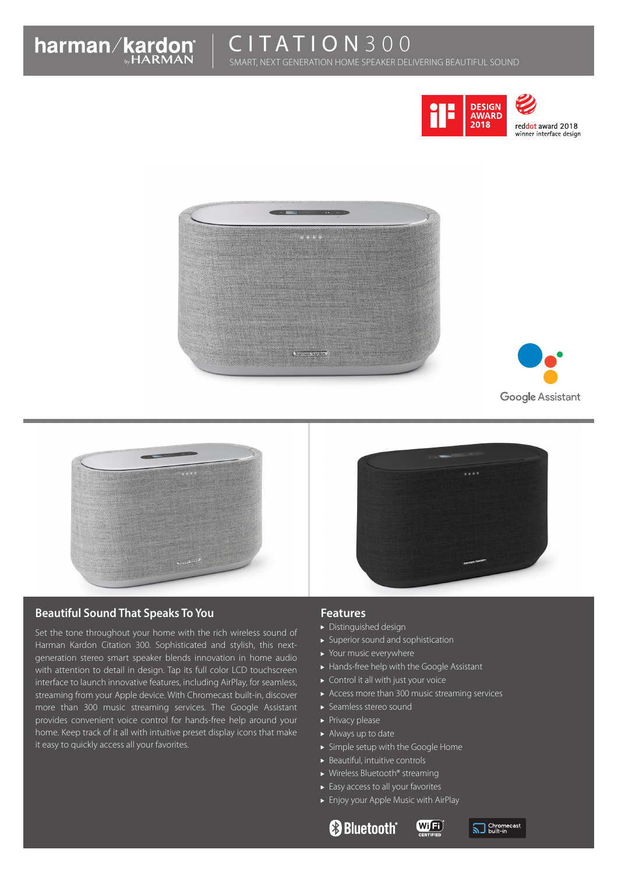

reddot award 2018 winner interface design







# **Beautiful Sound That Speaks To You**

Set the tone throughout your home with the rich wireless sound of Harman Kardon Citation 300. Sophisticated and stylish, this nextgeneration stereo smart speaker blends innovation in home audio with attention to detail in design. Tap its full color LCD touchscreen interface to launch innovative features, including AirPlay, for seamless, streaming from your Apple device. With Chromecast built-in, discover more than 300 music streaming services. The Google Assistant provides convenient voice control for hands-free help around your home. Keep track of it all with intuitive preset display icons that make it easy to quickly access all your favorites.

### **Features**

- Distinguished design
- Superior sound and sophistication
- ▶ Your music everywhere
- Hands-free help with the Google Assistant
- ▶ Control it all with just your voice
- Access more than 300 music streaming services
- Seamless stereo sound
- $\blacktriangleright$  Privacy please
- Always up to date
- Simple setup with the Google Home
- $\blacktriangleright$  Beautiful, intuitive controls
- ▶ Wireless Bluetooth® streaming
- $\blacktriangleright$  Easy access to all your favorites
- Enjoy your Apple Music with AirPlay
	- **Bluetooth**®